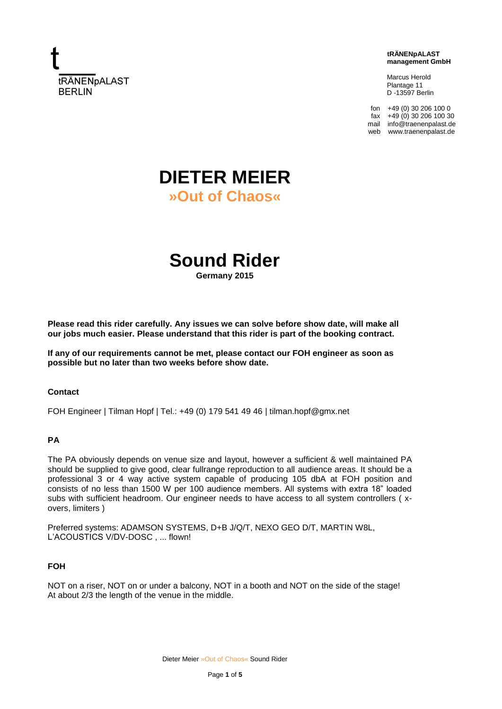

 **tRÄNENpALAST management GmbH**

 Marcus Herold Plantage 11 D -13597 Berlin

fon +49 (0) 30 206 100 0  $\frac{1}{4}$  +49 (0) 30 206 100 30 mail info@traenenpalast.de web www.traenenpalast.de

# **DIETER MEIER »Out of Chaos«**

**Sound Rider**

**Germany 2015**

**Please read this rider carefully. Any issues we can solve before show date, will make all our jobs much easier. Please understand that this rider is part of the booking contract.**

**If any of our requirements cannot be met, please contact our FOH engineer as soon as possible but no later than two weeks before show date.**

#### **Contact**

FOH Engineer | Tilman Hopf | Tel.: +49 (0) 179 541 49 46 | tilman.hopf@gmx.net

# **PA**

The PA obviously depends on venue size and layout, however a sufficient & well maintained PA should be supplied to give good, clear fullrange reproduction to all audience areas. It should be a professional 3 or 4 way active system capable of producing 105 dbA at FOH position and consists of no less than 1500 W per 100 audience members. All systems with extra 18" loaded subs with sufficient headroom. Our engineer needs to have access to all system controllers ( xovers, limiters )

Preferred systems: ADAMSON SYSTEMS, D+B J/Q/T, NEXO GEO D/T, MARTIN W8L, L'ACOUSTICS V/DV-DOSC, ... flown!

### **FOH**

NOT on a riser. NOT on or under a balcony. NOT in a booth and NOT on the side of the stage! At about 2/3 the length of the venue in the middle.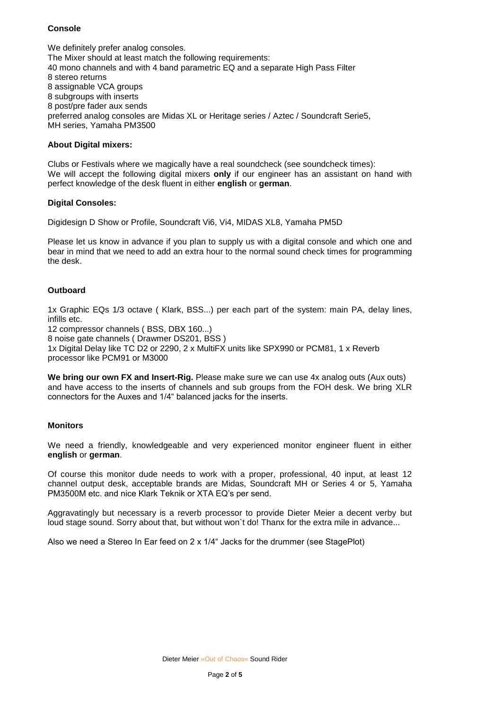# **Console**

We definitely prefer analog consoles. The Mixer should at least match the following requirements: 40 mono channels and with 4 band parametric EQ and a separate High Pass Filter 8 stereo returns 8 assignable VCA groups 8 subgroups with inserts 8 post/pre fader aux sends preferred analog consoles are Midas XL or Heritage series / Aztec / Soundcraft Serie5, MH series, Yamaha PM3500

## **About Digital mixers:**

Clubs or Festivals where we magically have a real soundcheck (see soundcheck times): We will accept the following digital mixers **only** if our engineer has an assistant on hand with perfect knowledge of the desk fluent in either **english** or **german**.

## **Digital Consoles:**

Digidesign D Show or Profile, Soundcraft Vi6, Vi4, MIDAS XL8, Yamaha PM5D

Please let us know in advance if you plan to supply us with a digital console and which one and bear in mind that we need to add an extra hour to the normal sound check times for programming the desk.

# **Outboard**

1x Graphic EQs 1/3 octave ( Klark, BSS...) per each part of the system: main PA, delay lines, infills etc.

12 compressor channels ( BSS, DBX 160...)

8 noise gate channels ( Drawmer DS201, BSS )

1x Digital Delay like TC D2 or 2290, 2 x MultiFX units like SPX990 or PCM81, 1 x Reverb processor like PCM91 or M3000

**We bring our own FX and Insert-Rig.** Please make sure we can use 4x analog outs (Aux outs) and have access to the inserts of channels and sub groups from the FOH desk. We bring XLR connectors for the Auxes and 1/4" balanced jacks for the inserts.

#### **Monitors**

We need a friendly, knowledgeable and very experienced monitor engineer fluent in either **english** or **german**.

Of course this monitor dude needs to work with a proper, professional, 40 input, at least 12 channel output desk, acceptable brands are Midas, Soundcraft MH or Series 4 or 5, Yamaha PM3500M etc. and nice Klark Teknik or XTA EQ's per send.

Aggravatingly but necessary is a reverb processor to provide Dieter Meier a decent verby but loud stage sound. Sorry about that, but without won't do! Thanx for the extra mile in advance...

Also we need a Stereo In Ear feed on 2 x 1/4" Jacks for the drummer (see StagePlot)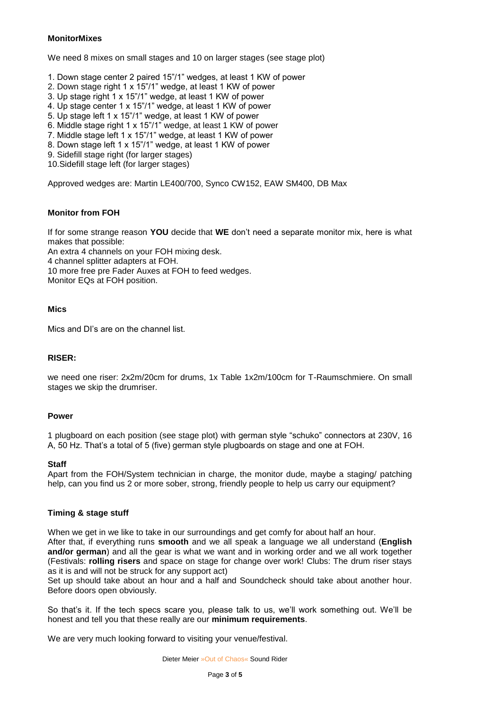# **MonitorMixes**

We need 8 mixes on small stages and 10 on larger stages (see stage plot)

- 1. Down stage center 2 paired 15"/1" wedges, at least 1 KW of power
- 2. Down stage right 1 x 15"/1" wedge, at least 1 KW of power
- 3. Up stage right 1 x 15"/1" wedge, at least 1 KW of power
- 4. Up stage center 1 x 15"/1" wedge, at least 1 KW of power
- 5. Up stage left 1 x 15"/1" wedge, at least 1 KW of power
- 6. Middle stage right 1 x 15"/1" wedge, at least 1 KW of power
- 7. Middle stage left 1 x 15"/1" wedge, at least 1 KW of power
- 8. Down stage left 1 x 15"/1" wedge, at least 1 KW of power
- 9. Sidefill stage right (for larger stages)
- 10.Sidefill stage left (for larger stages)

Approved wedges are: Martin LE400/700, Synco CW152, EAW SM400, DB Max

## **Monitor from FOH**

If for some strange reason **YOU** decide that **WE** don't need a separate monitor mix, here is what makes that possible:

An extra 4 channels on your FOH mixing desk.

4 channel splitter adapters at FOH.

10 more free pre Fader Auxes at FOH to feed wedges.

Monitor EQs at FOH position.

## **Mics**

Mics and DI's are on the channel list.

# **RISER:**

we need one riser: 2x2m/20cm for drums, 1x Table 1x2m/100cm for T-Raumschmiere. On small stages we skip the drumriser.

#### **Power**

1 plugboard on each position (see stage plot) with german style "schuko" connectors at 230V, 16 A, 50 Hz. That's a total of 5 (five) german style plugboards on stage and one at FOH.

#### **Staff**

Apart from the FOH/System technician in charge, the monitor dude, maybe a staging/ patching help, can you find us 2 or more sober, strong, friendly people to help us carry our equipment?

# **Timing & stage stuff**

When we get in we like to take in our surroundings and get comfy for about half an hour. After that, if everything runs **smooth** and we all speak a language we all understand (**English and/or german**) and all the gear is what we want and in working order and we all work together (Festivals: **rolling risers** and space on stage for change over work! Clubs: The drum riser stays as it is and will not be struck for any support act)

Set up should take about an hour and a half and Soundcheck should take about another hour. Before doors open obviously.

So that's it. If the tech specs scare you, please talk to us, we'll work something out. We'll be honest and tell you that these really are our **minimum requirements**.

We are very much looking forward to visiting your venue/festival.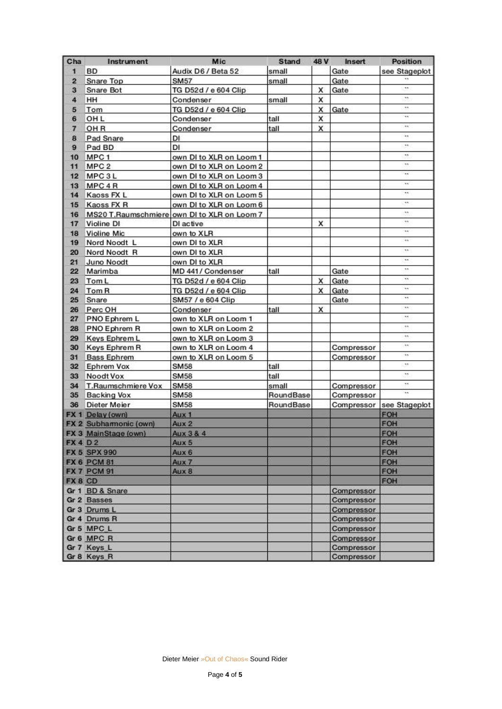| Cha            | Instrument             | Mic                                         | <b>Stand</b> | 48 V | Insert     | <b>Position</b>             |
|----------------|------------------------|---------------------------------------------|--------------|------|------------|-----------------------------|
| $\mathbf{1}$   | ВD                     | Audix D6 / Beta 52                          | small        |      | Gate       | see Stageplot               |
| $\overline{2}$ | <b>Snare Top</b>       | <b>SM57</b>                                 | small        |      | Gate       |                             |
| 3              | Snare Bot              | TG D52d / e 604 Clip                        |              | x    | Gate       | ωý,                         |
| 4              | HH                     | Condenser                                   | small        | x    |            | ×.                          |
| 5              | Tom                    | TG D52d / e 604 Clip                        |              | x    | Gate       | ٩'n.                        |
| 6              | OH <sub>L</sub>        | Condenser                                   | tall         | x    |            | $\mathcal{H}^{\mathrm{an}}$ |
| $\overline{7}$ | OH <sub>R</sub>        | Condenser                                   | tall         | X    |            | чó,                         |
| 8              | Pad Snare              | DI                                          |              |      |            | 'n                          |
| 9              | Pad BD                 | DI                                          |              |      |            | ٠ń.                         |
| 10             | MPC <sub>1</sub>       | own DI to XLR on Loom 1                     |              |      |            | ×٩                          |
| 11             | MPC <sub>2</sub>       | own DI to XLR on Loom 2                     |              |      |            | $\ddot{\phantom{1}}$        |
| 12             | MPC 3L                 | own DI to XLR on Loom 3                     |              |      |            | hn)                         |
| 13             | MPC 4R                 | own DI to XLR on Loom 4                     |              |      |            | ÷.                          |
| 14             | Kaoss FX L             | own DI to XLR on Loom 5                     |              |      |            | ×ч.                         |
| 15             | Kaoss FX R             | own DI to XLR on Loom 6                     |              |      |            | 11                          |
| 16             |                        | MS20 T.Raumschmiere own DI to XLR on Loom 7 |              |      |            | 33                          |
| 17             | Violine DI             | DI active                                   |              | X    |            | $\ddot{\phantom{1}}$        |
| 18             | Violine Mic            | own to XLR                                  |              |      |            | 'nе.                        |
| 19             | Nord Noodt L           | own DI to XLR                               |              |      |            | 'n.                         |
| 20             | Nord Noodt R           | own DI to XLR                               |              |      |            | 'nч.                        |
| 21             | Juno Noodt             | own DI to XLR                               |              |      |            | 11                          |
| 22             | Marimba                | MD 441/ Condenser                           | tall         |      | Gate       | 99.                         |
| 23             | Tom L                  | TG D52d / e 604 Clip                        |              | X    | Gate       | $\ddot{\phantom{1}}$        |
| 24             | Tom R                  | TG D52d / e 604 Clip                        |              | X    | Gate       | hn.                         |
| 25             | Snare                  | SM57 / e 604 Clip                           |              |      | Gate       | ÷                           |
| 26             | Perc OH                | Condenser                                   | tall         | x    |            | ×.                          |
| 27             | <b>PNO Ephrem L</b>    | own to XLR on Loom 1                        |              |      |            | ×٠                          |
| 28             | PNO Ephrem R           | own to XLR on Loom 2                        |              |      |            | ٩'n,                        |
| 29             | Keys Ephrem L          | own to XLR on Loom 3                        |              |      |            | $\ddot{\phantom{1}}$        |
|                | 30 Keys Ephrem R       | own to XLR on Loom 4                        |              |      | Compressor | ÷.                          |
| 31             | <b>Bass Ephrem</b>     | own to XLR on Loom 5                        |              |      | Compressor | w                           |
| 32             | Ephrem Vox             | <b>SM58</b>                                 | tall         |      |            | ٩ń.                         |
| 33             | Noodt Vox              | <b>SM58</b>                                 | tall         |      |            | ×.                          |
| 34             | T.Raumschmiere Vox     | <b>SM58</b>                                 | small        |      | Compressor | 99.                         |
| 35             | <b>Backing Vox</b>     | <b>SM58</b>                                 | RoundBase    |      | Compressor | hn)                         |
| 36             | Dieter Meier           | SM58                                        | RoundBase    |      |            | Compressor see Stageplot    |
|                | FX 1 Delay (own)       | Aux 1                                       |              |      |            | FOH                         |
|                | FX 2 Subharmonic (own) | Aux 2                                       |              |      |            | <b>FOH</b>                  |
|                | FX 3 MainStage (own)   | Aux 3 & 4                                   |              |      |            | FOH                         |
| <b>FX4D2</b>   |                        | Aux 5                                       |              |      |            | FOH                         |
|                | <b>FX 5 SPX 990</b>    | Aux 6                                       |              |      |            | FOH                         |
|                | <b>FX 6 PCM 81</b>     | Aux 7                                       |              |      |            | <b>FOH</b>                  |
|                | <b>FX 7 PCM 91</b>     | Aux 8                                       |              |      |            | FOH                         |
| FX 8 CD        |                        |                                             |              |      |            | FOH                         |
|                | Gr 1 BD & Snare        |                                             |              |      | Compressor |                             |
|                | Gr 2 Basses            |                                             |              |      | Compressor |                             |
|                | Gr 3 Drums L           |                                             |              |      | Compressor |                             |
|                | Gr 4 Drums R           |                                             |              |      | Compressor |                             |
|                | Gr 5 MPC L             |                                             |              |      | Compressor |                             |
|                | Gr 6 MPC R             |                                             |              |      | Compressor |                             |
|                | Gr 7 Keys L            |                                             |              |      | Compressor |                             |
|                | Gr 8 Keys R            |                                             |              |      | Compressor |                             |